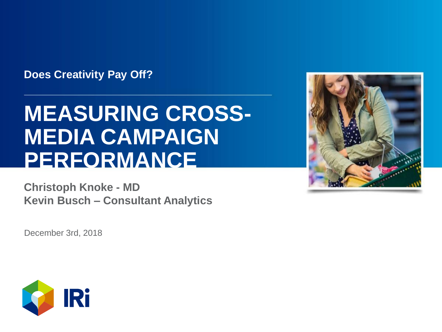**Does Creativity Pay Off?**

# **MEASURING CROSS-MEDIA CAMPAIGN PERFORMANCE**

**Christoph Knoke - MD Kevin Busch – Consultant Analytics**

December 3rd, 2018



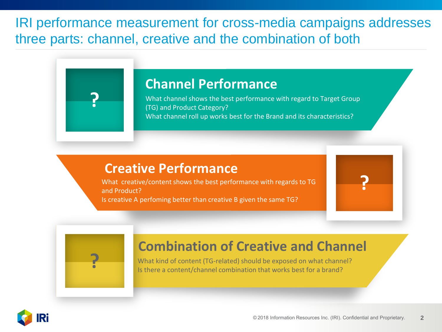IRI performance measurement for cross-media campaigns addresses three parts: channel, creative and the combination of both

### **Channel Performance**

What channel shows the best performance with regard to Target Group (TG) and Product Category? What channel roll up works best for the Brand and its characteristics?

### **Creative Performance**

What creative/content shows the best performance with regards to TG and Product? Is creative A perfoming better than creative B given the same TG?



**?**

### **Combination of Creative and Channel**

What kind of content (TG-related) should be exposed on what channel? Is there a content/channel combination that works best for a brand?



**?**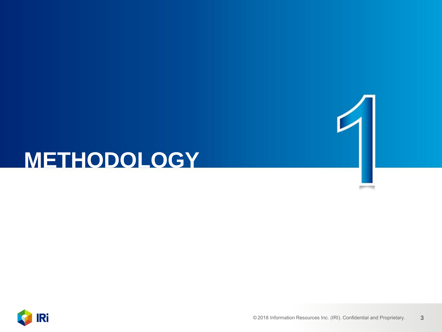# **METHODOLOGY**

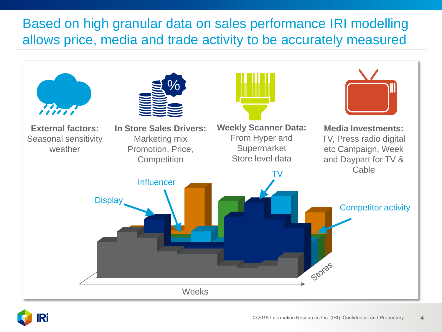## Based on high granular data on sales performance IRI modelling allows price, media and trade activity to be accurately measured



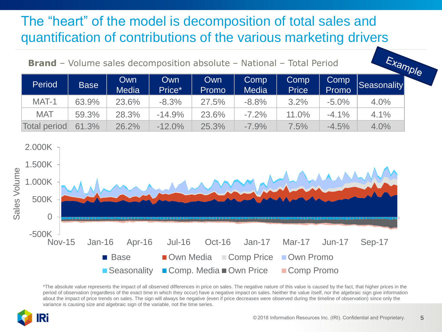## The "heart" of the model is decomposition of total sales and quantification of contributions of the various marketing drivers

| <b>Brand</b> – Volume sales decomposition absolute – National – Total Period |             |                     |               |                     |                      |                      |               | Example     |  |
|------------------------------------------------------------------------------|-------------|---------------------|---------------|---------------------|----------------------|----------------------|---------------|-------------|--|
| Period                                                                       | <b>Base</b> | Own<br><b>Media</b> | Own<br>Price* | <b>Own</b><br>Promo | Comp<br><b>Media</b> | Comp<br><b>Price</b> | Comp<br>Promo | Seasonality |  |
| MAT-1                                                                        | 63.9%       | 23.6%               | $-8.3%$       | 27.5%               | $-8.8%$              | 3.2%                 | $-5.0\%$      | 4.0%        |  |
| <b>MAT</b>                                                                   | 59.3%       | 28.3%               | $-14.9%$      | 23.6%               | $-7.2\%$             | 11.0%                | $-4.1\%$      | 4.1%        |  |
| Total period                                                                 | 61.3%       | 26.2%               | $-12.0%$      | 25.3%               | $-7.9\%$             | 7.5%                 | $-4.5%$       | 4.0%        |  |



\*The absolute value represents the impact of all observed differences in price on sales. The negative nature of this value is caused by the fact, that higher prices in the period of observation (regardless of the exact time in which they occur) have a negative impact on sales. Neither the value itself, nor the algebraic sign give information about the impact of price trends on sales. The sign will always be negative (even if price decreases were observed during the timeline of observation) since only the variance is causing size and algebraic sign of the variable, not the time series.

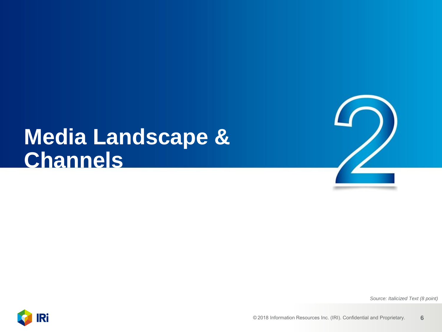# **Media Landscape & Channels**



*Source: Italicized Text (8 point)*

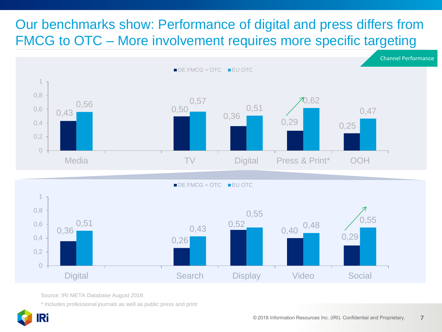## Our benchmarks show: Performance of digital and press differs from FMCG to OTC – More involvement requires more specific targeting



Source: IRI META Database August 2018

\* Includes professional journals as well as public press and print

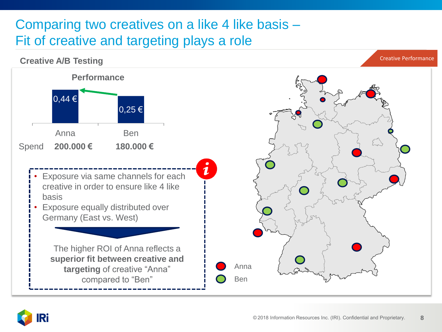## Comparing two creatives on a like 4 like basis – Fit of creative and targeting plays a role



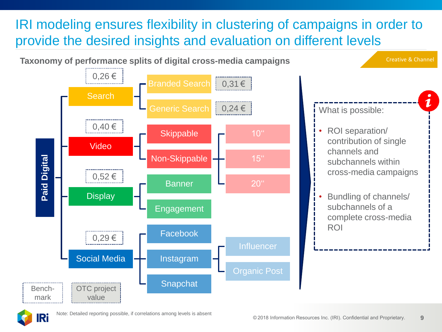## IRI modeling ensures flexibility in clustering of campaigns in order to provide the desired insights and evaluation on different levels



**IRi**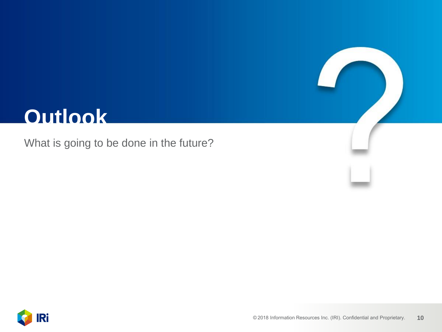# **Outlook**

What is going to be done in the future?

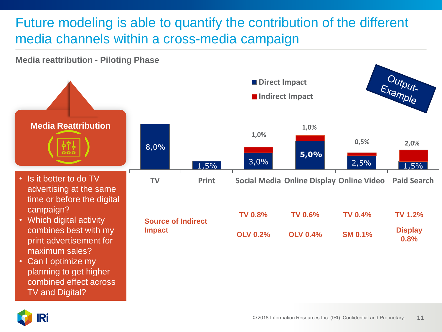## Future modeling is able to quantify the contribution of the different media channels within a cross-media campaign

### **Media reattribution - Piloting Phase**



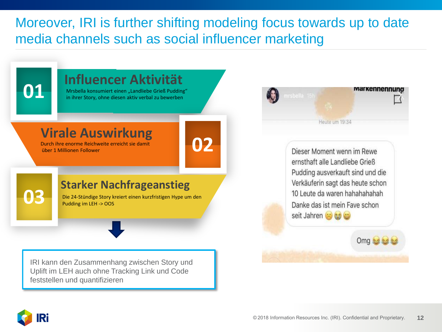## Moreover, IRI is further shifting modeling focus towards up to date media channels such as social influencer marketing